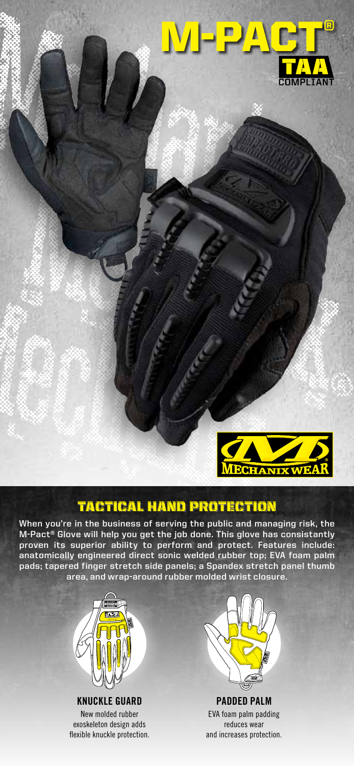



# tactical hand protection

**When you're in the business of serving the public and managing risk, the M-Pact® Glove will help you get the job done. This glove has consistantly proven its superior ability to perform and protect. Features include: anatomically engineered direct sonic welded rubber top; EVA foam palm pads; tapered finger stretch side panels; a Spandex stretch panel thumb area, and wrap-around rubber molded wrist closure.**



**Knuckle Guard** New molded rubber exoskeleton design adds flexible knuckle protection.



**padded palm** EVA foam palm padding reduces wear and increases protection.